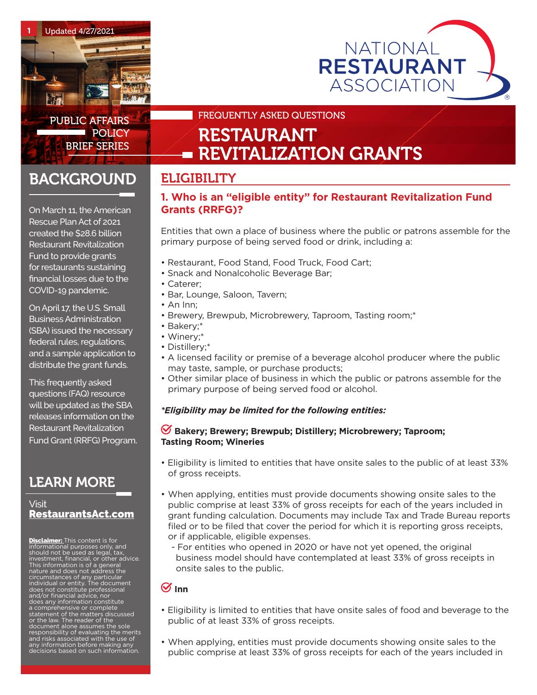



PUBLIC AFFAIRS **POLICY** BRIEF SERIES

## FREQUENTLY ASKED QUESTIONS

# RESTAURANT **REVITALIZATION GRANTS**

## ELIGIBILITY

## **1. Who is an "eligible entity" for Restaurant Revitalization Fund Grants (RRFG)?**

Entities that own a place of business where the public or patrons assemble for the primary purpose of being served food or drink, including a:

- Restaurant, Food Stand, Food Truck, Food Cart;
- Snack and Nonalcoholic Beverage Bar;
- Caterer;
- Bar, Lounge, Saloon, Tavern;
- An Inn;
- Brewery, Brewpub, Microbrewery, Taproom, Tasting room;\*
- Bakery;\*
- Winery;\*
- Distillery;\*
- A licensed facility or premise of a beverage alcohol producer where the public may taste, sample, or purchase products;
- Other similar place of business in which the public or patrons assemble for the primary purpose of being served food or alcohol.

#### *\*Eligibility may be limited for the following entities:*

#### **Bakery; Brewery; Brewpub; Distillery; Microbrewery; Taproom; Tasting Room; Wineries**

- Eligibility is limited to entities that have onsite sales to the public of at least 33% of gross receipts.
- When applying, entities must provide documents showing onsite sales to the public comprise at least 33% of gross receipts for each of the years included in grant funding calculation. Documents may include Tax and Trade Bureau reports filed or to be filed that cover the period for which it is reporting gross receipts, or if applicable, eligible expenses.
	- For entities who opened in 2020 or have not yet opened, the original business model should have contemplated at least 33% of gross receipts in onsite sales to the public.

## $\mathcal G$  Inn

- Eligibility is limited to entities that have onsite sales of food and beverage to the public of at least 33% of gross receipts.
- When applying, entities must provide documents showing onsite sales to the public comprise at least 33% of gross receipts for each of the years included in

On March 11, the American Rescue Plan Act of 2021

**BACKGROUND** 

created the \$28.6 billion Restaurant Revitalization Fund to provide grants for restaurants sustaining financial losses due to the COVID-19 pandemic.

On April 17, the U.S. Small Business Administration (SBA) issued the necessary federal rules, regulations, and a sample application to distribute the grant funds.

This frequently asked questions (FAQ) resource will be updated as the SBA releases information on the Restaurant Revitalization Fund Grant (RRFG) Program.

## LEARN MORE

## Visit RestaurantsAc[t.](http://WWW.restaurantsact.com)com

**Disclaimer:** This content is for informational purposes only, and should not be used as legal, tax, investment, financial, or other advice. This information is of a general nature and does not address the circumstances of any particular individual or entity. The document does not constitute professional and/or financial advice, nor s any information constitute a comprehensive or complete statement of the matters discussed or the law. The reader of the document alone assumes the sole responsibility of evaluating the merits and risks associated with the use of any information before making any decisions based on such information.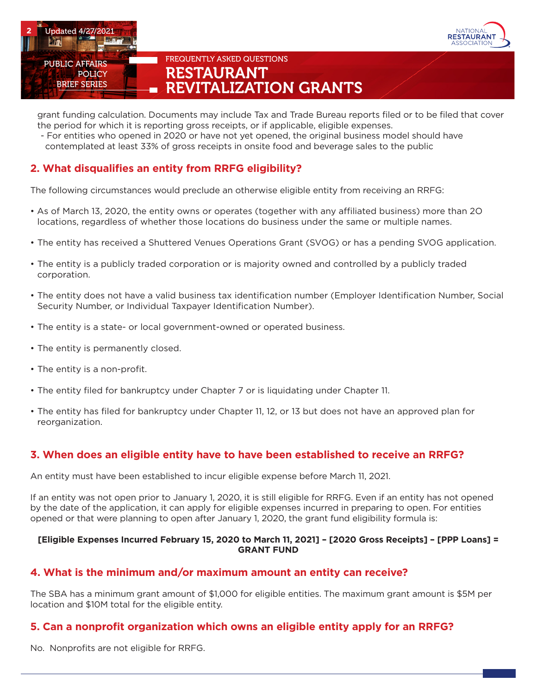



grant funding calculation. Documents may include Tax and Trade Bureau reports filed or to be filed that cover the period for which it is reporting gross receipts, or if applicable, eligible expenses.

 - For entities who opened in 2020 or have not yet opened, the original business model should have contemplated at least 33% of gross receipts in onsite food and beverage sales to the public

## **2. What disqualifies an entity from RRFG eligibility?**

The following circumstances would preclude an otherwise eligible entity from receiving an RRFG:

- As of March 13, 2020, the entity owns or operates (together with any affiliated business) more than 2O locations, regardless of whether those locations do business under the same or multiple names.
- The entity has received a Shuttered Venues Operations Grant (SVOG) or has a pending SVOG application.
- The entity is a publicly traded corporation or is majority owned and controlled by a publicly traded corporation.
- The entity does not have a valid business tax identification number (Employer Identification Number, Social Security Number, or Individual Taxpayer Identification Number).
- The entity is a state- or local government-owned or operated business.
- The entity is permanently closed.
- The entity is a non-profit.
- The entity filed for bankruptcy under Chapter 7 or is liquidating under Chapter 11.
- The entity has filed for bankruptcy under Chapter 11, 12, or 13 but does not have an approved plan for reorganization.

## **3. When does an eligible entity have to have been established to receive an RRFG?**

An entity must have been established to incur eligible expense before March 11, 2021.

If an entity was not open prior to January 1, 2020, it is still eligible for RRFG. Even if an entity has not opened by the date of the application, it can apply for eligible expenses incurred in preparing to open. For entities opened or that were planning to open after January 1, 2020, the grant fund eligibility formula is:

#### **[Eligible Expenses Incurred February 15, 2020 to March 11, 2021] – [2020 Gross Receipts] – [PPP Loans] = GRANT FUND**

## **4. What is the minimum and/or maximum amount an entity can receive?**

The SBA has a minimum grant amount of \$1,000 for eligible entities. The maximum grant amount is \$5M per location and \$10M total for the eligible entity.

#### **5. Can a nonprofit organization which owns an eligible entity apply for an RRFG?**

No. Nonprofits are not eligible for RRFG.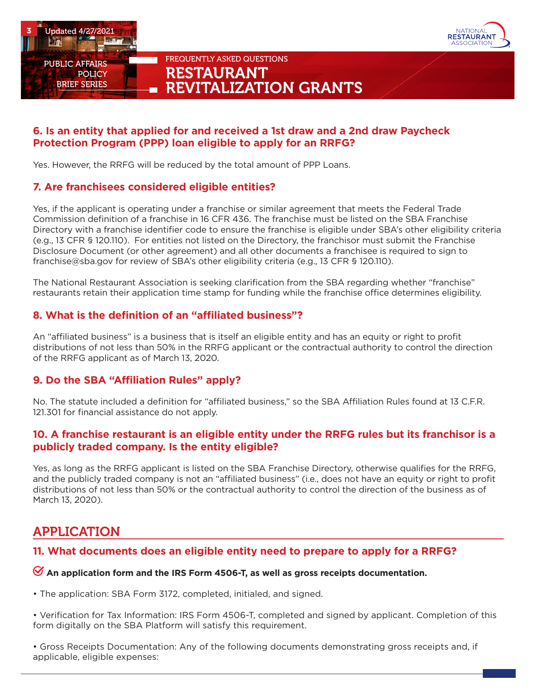



## **6. Is an entity that applied for and received a 1st draw and a 2nd draw Paycheck Protection Program (PPP) loan eligible to apply for an RRFG?**

Yes. However, the RRFG will be reduced by the total amount of PPP Loans.

## **7. Are franchisees considered eligible entities?**

Yes, if the applicant is operating under a franchise or similar agreement that meets the Federal Trade Commission definition of a franchise in 16 CFR 436. The franchise must be listed on the SBA Franchise Directory with a franchise identifier code to ensure the franchise is eligible under SBA's other eligibility criteria (e.g., 13 CFR § 120.110). For entities not listed on the Directory, the franchisor must submit the Franchise Disclosure Document (or other agreement) and all other documents a franchisee is required to sign to franchise@sba.gov for review of SBA's other eligibility criteria (e.g., 13 CFR § 120.110).

The National Restaurant Association is seeking clarification from the SBA regarding whether "franchise" restaurants retain their application time stamp for funding while the franchise office determines eligibility.

## **8. What is the definition of an "affiliated business"?**

An "affiliated business" is a business that is itself an eligible entity and has an equity or right to profit distributions of not less than 50% in the RRFG applicant or the contractual authority to control the direction of the RRFG applicant as of March 13, 2020.

## **9. Do the SBA "Affiliation Rules" apply?**

No. The statute included a definition for "affiliated business," so the SBA Affiliation Rules found at 13 C.F.R. 121.301 for financial assistance do not apply.

### **10. A franchise restaurant is an eligible entity under the RRFG rules but its franchisor is a publicly traded company. Is the entity eligible?**

Yes, as long as the RRFG applicant is listed on the SBA Franchise Directory, otherwise qualifies for the RRFG, and the publicly traded company is not an "affiliated business" (i.e., does not have an equity or right to profit distributions of not less than 50% or the contractual authority to control the direction of the business as of March 13, 2020).

## APPLICATION

## **11. What documents does an eligible entity need to prepare to apply for a RRFG?**

#### **An application form and the IRS Form 4506-T, as well as gross receipts documentation.**

• The application: SBA Form 3172, completed, initialed, and signed.

• Verification for Tax Information: IRS Form 4506-T, completed and signed by applicant. Completion of this form digitally on the SBA Platform will satisfy this requirement.

• Gross Receipts Documentation: Any of the following documents demonstrating gross receipts and, if applicable, eligible expenses: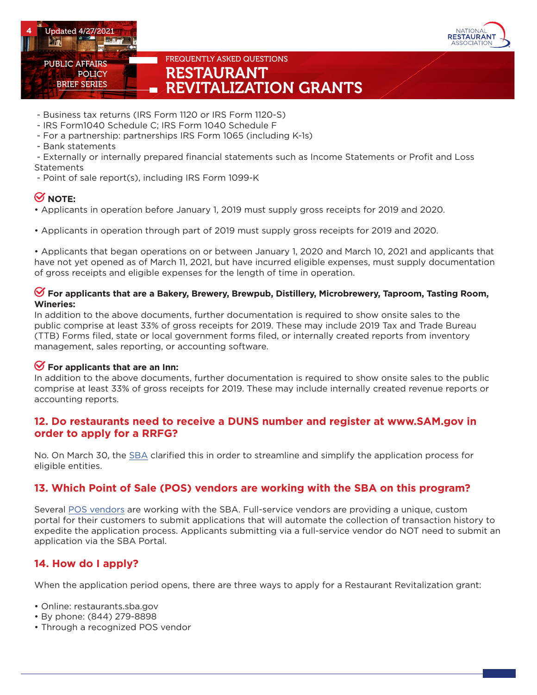



- Business tax returns (IRS Form 1120 or IRS Form 1120-S)
- IRS Form1040 Schedule C; IRS Form 1040 Schedule F
- For a partnership: partnerships IRS Form 1065 (including K-1s)
- Bank statements
- Externally or internally prepared financial statements such as Income Statements or Profit and Loss **Statements**
- Point of sale report(s), including IRS Form 1099-K

## **S** NOTE:

- Applicants in operation before January 1, 2019 must supply gross receipts for 2019 and 2020.
- Applicants in operation through part of 2019 must supply gross receipts for 2019 and 2020.

• Applicants that began operations on or between January 1, 2020 and March 10, 2021 and applicants that have not yet opened as of March 11, 2021, but have incurred eligible expenses, must supply documentation of gross receipts and eligible expenses for the length of time in operation.

#### **For applicants that are a Bakery, Brewery, Brewpub, Distillery, Microbrewery, Taproom, Tasting Room, Wineries:**

In addition to the above documents, further documentation is required to show onsite sales to the public comprise at least 33% of gross receipts for 2019. These may include 2019 Tax and Trade Bureau (TTB) Forms filed, state or local government forms filed, or internally created reports from inventory management, sales reporting, or accounting software.

## **For applicants that are an Inn:**

In addition to the above documents, further documentation is required to show onsite sales to the public comprise at least 33% of gross receipts for 2019. These may include internally created revenue reports or accounting reports.

### **12. Do restaurants need to receive a DUNS number and register at www.SAM.gov in order to apply for a RRFG?**

No. On March 30, the [SBA](https://restaurant.org/articles/news/rrf-grant-applications-wont-require-a-duns-number) clarified this in order to streamline and simplify the application process for eligible entities.

## **13. Which Point of Sale (POS) vendors are working with the SBA on this program?**

Several [POS vendors](https://ussbaforgiveness.zendesk.com/hc/en-us/articles/360059581972-Which-Point-of-Sale-POS-Vendors-are-working-with-the-SBA-on-this-program-) are working with the SBA. Full-service vendors are providing a unique, custom portal for their customers to submit applications that will automate the collection of transaction history to expedite the application process. Applicants submitting via a full-service vendor do NOT need to submit an application via the SBA Portal.

## **14. How do I apply?**

When the application period opens, there are three ways to apply for a Restaurant Revitalization grant:

- Online: restaurants.sba.gov
- By phone: (844) 279-8898
- Through a recognized POS vendor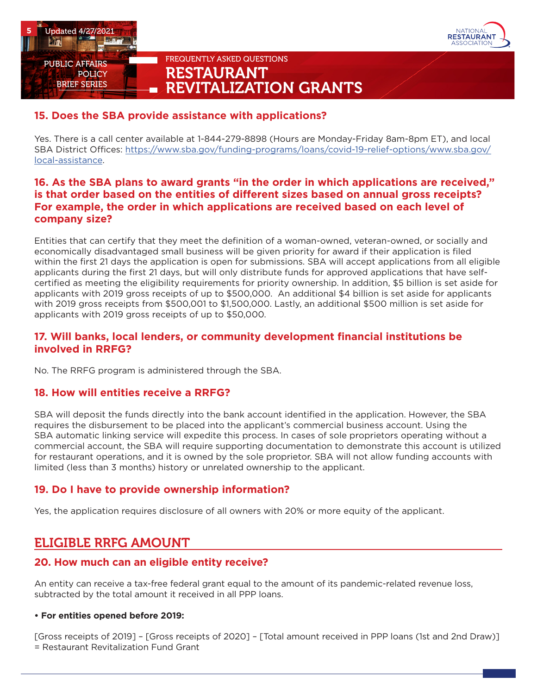



# **15. Does the SBA provide assistance with applications?**

Yes. There is a call center available at 1-844-279-8898 (Hours are Monday-Friday 8am-8pm ET), and local SBA District Offices: [https://www.sba.gov/funding-programs/loans/covid-19-relief-options/www.sba.gov/](https://www.sba.gov/funding-programs/loans/covid-19-relief-options/www.sba.gov/local-assistance) [local-assistance.](https://www.sba.gov/funding-programs/loans/covid-19-relief-options/www.sba.gov/local-assistance)

## **16. As the SBA plans to award grants "in the order in which applications are received," is that order based on the entities of different sizes based on annual gross receipts? For example, the order in which applications are received based on each level of company size?**

Entities that can certify that they meet the definition of a woman-owned, veteran-owned, or socially and economically disadvantaged small business will be given priority for award if their application is filed within the first 21 days the application is open for submissions. SBA will accept applications from all eligible applicants during the first 21 days, but will only distribute funds for approved applications that have selfcertified as meeting the eligibility requirements for priority ownership. In addition, \$5 billion is set aside for applicants with 2019 gross receipts of up to \$500,000. An additional \$4 billion is set aside for applicants with 2019 gross receipts from \$500,001 to \$1,500,000. Lastly, an additional \$500 million is set aside for applicants with 2019 gross receipts of up to \$50,000.

## **17. Will banks, local lenders, or community development financial institutions be involved in RRFG?**

No. The RRFG program is administered through the SBA.

#### **18. How will entities receive a RRFG?**

SBA will deposit the funds directly into the bank account identified in the application. However, the SBA requires the disbursement to be placed into the applicant's commercial business account. Using the SBA automatic linking service will expedite this process. In cases of sole proprietors operating without a commercial account, the SBA will require supporting documentation to demonstrate this account is utilized for restaurant operations, and it is owned by the sole proprietor. SBA will not allow funding accounts with limited (less than 3 months) history or unrelated ownership to the applicant.

## **19. Do I have to provide ownership information?**

Yes, the application requires disclosure of all owners with 20% or more equity of the applicant.

## ELIGIBLE RRFG AMOUNT

## **20. How much can an eligible entity receive?**

An entity can receive a tax-free federal grant equal to the amount of its pandemic-related revenue loss, subtracted by the total amount it received in all PPP loans.

#### **• For entities opened before 2019:**

[Gross receipts of 2019] – [Gross receipts of 2020] – [Total amount received in PPP loans (1st and 2nd Draw)] = Restaurant Revitalization Fund Grant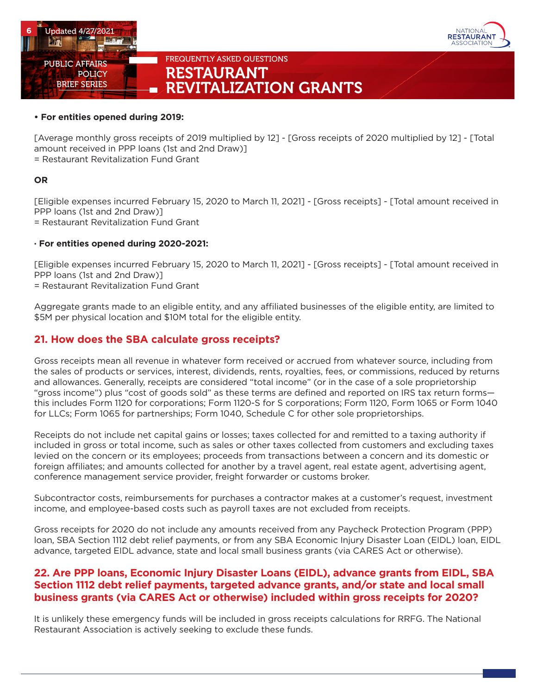



#### **• For entities opened during 2019:**

[Average monthly gross receipts of 2019 multiplied by 12] - [Gross receipts of 2020 multiplied by 12] - [Total amount received in PPP loans (1st and 2nd Draw)] = Restaurant Revitalization Fund Grant

#### **OR**

[Eligible expenses incurred February 15, 2020 to March 11, 2021] - [Gross receipts] - [Total amount received in PPP loans (1st and 2nd Draw)]

= Restaurant Revitalization Fund Grant

#### **· For entities opened during 2020-2021:**

[Eligible expenses incurred February 15, 2020 to March 11, 2021] - [Gross receipts] - [Total amount received in PPP loans (1st and 2nd Draw)]

= Restaurant Revitalization Fund Grant

Aggregate grants made to an eligible entity, and any affiliated businesses of the eligible entity, are limited to \$5M per physical location and \$10M total for the eligible entity.

## **21. How does the SBA calculate gross receipts?**

Gross receipts mean all revenue in whatever form received or accrued from whatever source, including from the sales of products or services, interest, dividends, rents, royalties, fees, or commissions, reduced by returns and allowances. Generally, receipts are considered "total income" (or in the case of a sole proprietorship "gross income") plus "cost of goods sold" as these terms are defined and reported on IRS tax return forms this includes Form 1120 for corporations; Form 1120-S for S corporations; Form 1120, Form 1065 or Form 1040 for LLCs; Form 1065 for partnerships; Form 1040, Schedule C for other sole proprietorships.

Receipts do not include net capital gains or losses; taxes collected for and remitted to a taxing authority if included in gross or total income, such as sales or other taxes collected from customers and excluding taxes levied on the concern or its employees; proceeds from transactions between a concern and its domestic or foreign affiliates; and amounts collected for another by a travel agent, real estate agent, advertising agent, conference management service provider, freight forwarder or customs broker.

Subcontractor costs, reimbursements for purchases a contractor makes at a customer's request, investment income, and employee-based costs such as payroll taxes are not excluded from receipts.

Gross receipts for 2020 do not include any amounts received from any Paycheck Protection Program (PPP) loan, SBA Section 1112 debt relief payments, or from any SBA Economic Injury Disaster Loan (EIDL) loan, EIDL advance, targeted EIDL advance, state and local small business grants (via CARES Act or otherwise).

## **22. Are PPP loans, Economic Injury Disaster Loans (EIDL), advance grants from EIDL, SBA Section 1112 debt relief payments, targeted advance grants, and/or state and local small business grants (via CARES Act or otherwise) included within gross receipts for 2020?**

It is unlikely these emergency funds will be included in gross receipts calculations for RRFG. The National Restaurant Association is actively seeking to exclude these funds.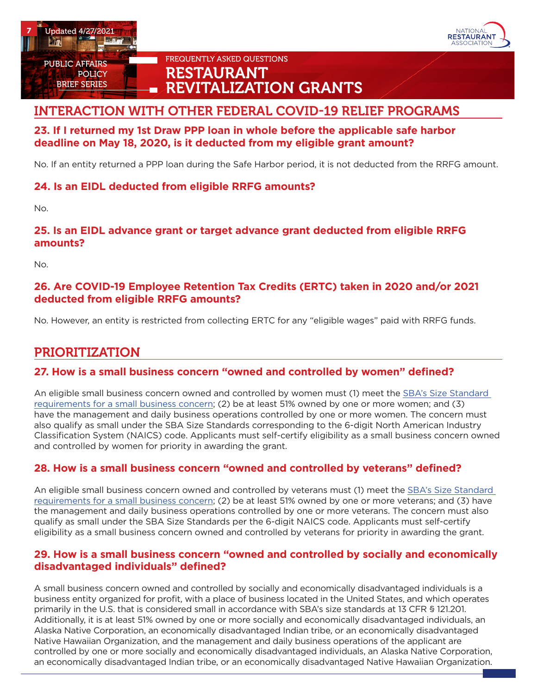

BRIEF SERIES



## FREQUENTLY ASKED QUESTIONS RESTAURANT **REVITALIZATION GRANTS**

## INTERACTION WITH OTHER FEDERAL COVID-19 RELIEF PROGRAMS

## **23. If I returned my 1st Draw PPP loan in whole before the applicable safe harbor deadline on May 18, 2020, is it deducted from my eligible grant amount?**

No. If an entity returned a PPP loan during the Safe Harbor period, it is not deducted from the RRFG amount.

## **24. Is an EIDL deducted from eligible RRFG amounts?**

No.

## **25. Is an EIDL advance grant or target advance grant deducted from eligible RRFG amounts?**

No.

## **26. Are COVID-19 Employee Retention Tax Credits (ERTC) taken in 2020 and/or 2021 deducted from eligible RRFG amounts?**

No. However, an entity is restricted from collecting ERTC for any "eligible wages" paid with RRFG funds.

## PRIORITIZATION

## **27. How is a small business concern "owned and controlled by women" defined?**

An eligible small business concern owned and controlled by women must (1) meet the [SBA's Size Standard](https://www.sba.gov/document/support--table-size-standards)  [requirements for a small business concern;](https://www.sba.gov/document/support--table-size-standards) (2) be at least 51% owned by one or more women; and (3) have the management and daily business operations controlled by one or more women. The concern must also qualify as small under the SBA Size Standards corresponding to the 6-digit North American Industry Classification System (NAICS) code. Applicants must self-certify eligibility as a small business concern owned and controlled by women for priority in awarding the grant.

## **28. How is a small business concern "owned and controlled by veterans" defined?**

An eligible small business concern owned and controlled by veterans must (1) meet the [SBA's Size Standard](https://www.sba.gov/document/support--table-size-standards)  [requirements for a small business concern;](https://www.sba.gov/document/support--table-size-standards) (2) be at least 51% owned by one or more veterans; and (3) have the management and daily business operations controlled by one or more veterans. The concern must also qualify as small under the SBA Size Standards per the 6-digit NAICS code. Applicants must self-certify eligibility as a small business concern owned and controlled by veterans for priority in awarding the grant.

## **29. How is a small business concern "owned and controlled by socially and economically disadvantaged individuals" defined?**

A small business concern owned and controlled by socially and economically disadvantaged individuals is a business entity organized for profit, with a place of business located in the United States, and which operates primarily in the U.S. that is considered small in accordance with SBA's size standards at 13 CFR § 121.201. Additionally, it is at least 51% owned by one or more socially and economically disadvantaged individuals, an Alaska Native Corporation, an economically disadvantaged Indian tribe, or an economically disadvantaged Native Hawaiian Organization, and the management and daily business operations of the applicant are controlled by one or more socially and economically disadvantaged individuals, an Alaska Native Corporation, an economically disadvantaged Indian tribe, or an economically disadvantaged Native Hawaiian Organization.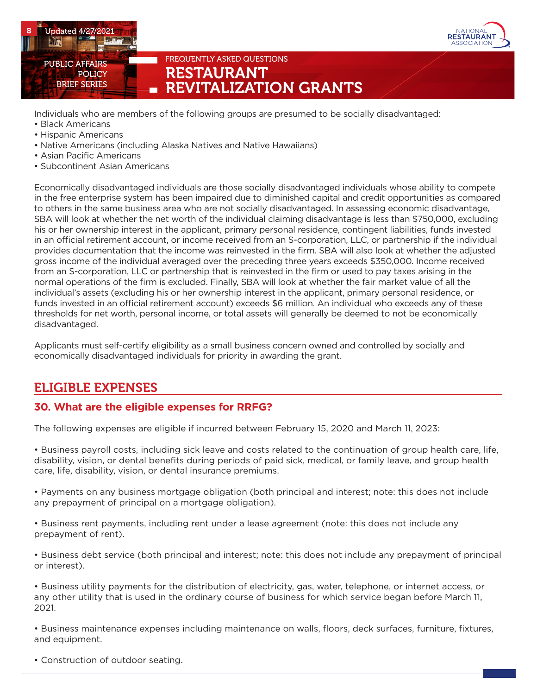

Individuals who are members of the following groups are presumed to be socially disadvantaged:

- Black Americans
- Hispanic Americans
- Native Americans (including Alaska Natives and Native Hawaiians)
- Asian Pacific Americans
- Subcontinent Asian Americans

Economically disadvantaged individuals are those socially disadvantaged individuals whose ability to compete in the free enterprise system has been impaired due to diminished capital and credit opportunities as compared to others in the same business area who are not socially disadvantaged. In assessing economic disadvantage, SBA will look at whether the net worth of the individual claiming disadvantage is less than \$750,000, excluding his or her ownership interest in the applicant, primary personal residence, contingent liabilities, funds invested in an official retirement account, or income received from an S-corporation, LLC, or partnership if the individual provides documentation that the income was reinvested in the firm. SBA will also look at whether the adjusted gross income of the individual averaged over the preceding three years exceeds \$350,000. Income received from an S-corporation, LLC or partnership that is reinvested in the firm or used to pay taxes arising in the normal operations of the firm is excluded. Finally, SBA will look at whether the fair market value of all the individual's assets (excluding his or her ownership interest in the applicant, primary personal residence, or funds invested in an official retirement account) exceeds \$6 million. An individual who exceeds any of these thresholds for net worth, personal income, or total assets will generally be deemed to not be economically disadvantaged.

IATIONA **RESTAURANT** 

Applicants must self-certify eligibility as a small business concern owned and controlled by socially and economically disadvantaged individuals for priority in awarding the grant.

## ELIGIBLE EXPENSES

## **30. What are the eligible expenses for RRFG?**

The following expenses are eligible if incurred between February 15, 2020 and March 11, 2023:

• Business payroll costs, including sick leave and costs related to the continuation of group health care, life, disability, vision, or dental benefits during periods of paid sick, medical, or family leave, and group health care, life, disability, vision, or dental insurance premiums.

• Payments on any business mortgage obligation (both principal and interest; note: this does not include any prepayment of principal on a mortgage obligation).

• Business rent payments, including rent under a lease agreement (note: this does not include any prepayment of rent).

• Business debt service (both principal and interest; note: this does not include any prepayment of principal or interest).

• Business utility payments for the distribution of electricity, gas, water, telephone, or internet access, or any other utility that is used in the ordinary course of business for which service began before March 11, 2021.

• Business maintenance expenses including maintenance on walls, floors, deck surfaces, furniture, fixtures, and equipment.

• Construction of outdoor seating.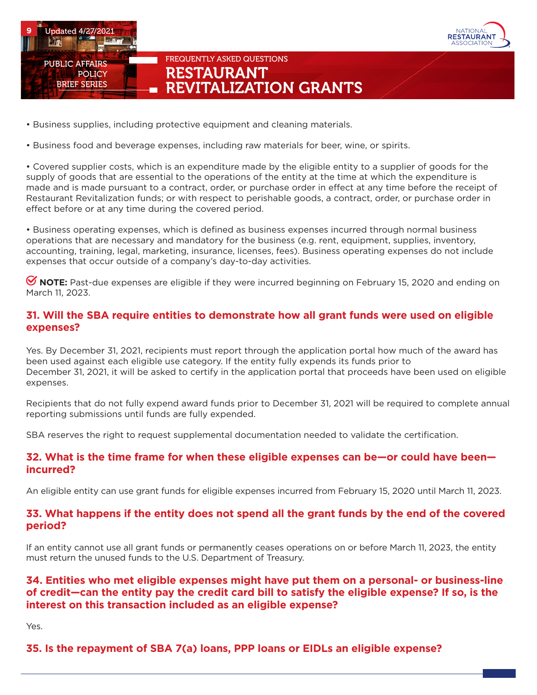

- Business supplies, including protective equipment and cleaning materials.
- Business food and beverage expenses, including raw materials for beer, wine, or spirits.

• Covered supplier costs, which is an expenditure made by the eligible entity to a supplier of goods for the supply of goods that are essential to the operations of the entity at the time at which the expenditure is made and is made pursuant to a contract, order, or purchase order in effect at any time before the receipt of Restaurant Revitalization funds; or with respect to perishable goods, a contract, order, or purchase order in effect before or at any time during the covered period.

**NATIONA RESTAURANT** SOCIATIO

• Business operating expenses, which is defined as business expenses incurred through normal business operations that are necessary and mandatory for the business (e.g. rent, equipment, supplies, inventory, accounting, training, legal, marketing, insurance, licenses, fees). Business operating expenses do not include expenses that occur outside of a company's day-to-day activities.

 **NOTE:** Past-due expenses are eligible if they were incurred beginning on February 15, 2020 and ending on March 11, 2023.

### **31. Will the SBA require entities to demonstrate how all grant funds were used on eligible expenses?**

Yes. By December 31, 2021, recipients must report through the application portal how much of the award has been used against each eligible use category. If the entity fully expends its funds prior to December 31, 2021, it will be asked to certify in the application portal that proceeds have been used on eligible expenses.

Recipients that do not fully expend award funds prior to December 31, 2021 will be required to complete annual reporting submissions until funds are fully expended.

SBA reserves the right to request supplemental documentation needed to validate the certification.

#### **32. What is the time frame for when these eligible expenses can be—or could have been incurred?**

An eligible entity can use grant funds for eligible expenses incurred from February 15, 2020 until March 11, 2023.

#### **33. What happens if the entity does not spend all the grant funds by the end of the covered period?**

If an entity cannot use all grant funds or permanently ceases operations on or before March 11, 2023, the entity must return the unused funds to the U.S. Department of Treasury.

## **34. Entities who met eligible expenses might have put them on a personal- or business-line of credit—can the entity pay the credit card bill to satisfy the eligible expense? If so, is the interest on this transaction included as an eligible expense?**

Yes.

## **35. Is the repayment of SBA 7(a) loans, PPP loans or EIDLs an eligible expense?**